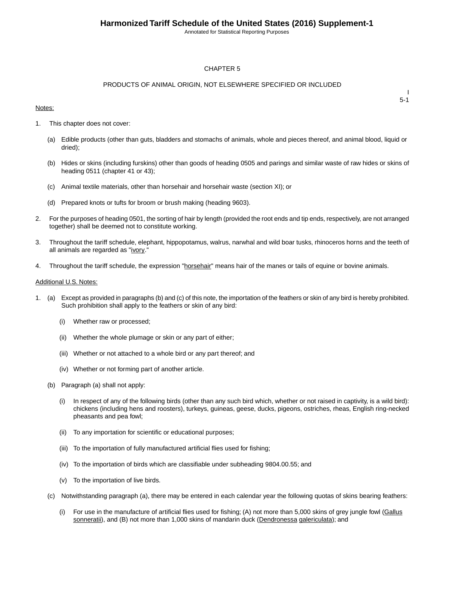Annotated for Statistical Reporting Purposes

#### CHAPTER 5

#### PRODUCTS OF ANIMAL ORIGIN, NOT ELSEWHERE SPECIFIED OR INCLUDED

#### Notes:

I 5-1

- 1. This chapter does not cover:
	- (a) Edible products (other than guts, bladders and stomachs of animals, whole and pieces thereof, and animal blood, liquid or dried);
	- (b) Hides or skins (including furskins) other than goods of heading 0505 and parings and similar waste of raw hides or skins of heading 0511 (chapter 41 or 43);
	- (c) Animal textile materials, other than horsehair and horsehair waste (section XI); or
	- (d) Prepared knots or tufts for broom or brush making (heading 9603).
- 2. For the purposes of heading 0501, the sorting of hair by length (provided the root ends and tip ends, respectively, are not arranged together) shall be deemed not to constitute working.
- 3. Throughout the tariff schedule, elephant, hippopotamus, walrus, narwhal and wild boar tusks, rhinoceros horns and the teeth of all animals are regarded as "ivory."
- 4. Throughout the tariff schedule, the expression "horsehair" means hair of the manes or tails of equine or bovine animals.

#### Additional U.S. Notes:

- 1. (a) Except as provided in paragraphs (b) and (c) of this note, the importation of the feathers or skin of any bird is hereby prohibited. Such prohibition shall apply to the feathers or skin of any bird:
	- (i) Whether raw or processed;
	- (ii) Whether the whole plumage or skin or any part of either;
	- (iii) Whether or not attached to a whole bird or any part thereof; and
	- (iv) Whether or not forming part of another article.
	- (b) Paragraph (a) shall not apply:
		- (i) In respect of any of the following birds (other than any such bird which, whether or not raised in captivity, is a wild bird): chickens (including hens and roosters), turkeys, guineas, geese, ducks, pigeons, ostriches, rheas, English ring-necked pheasants and pea fowl;
		- (ii) To any importation for scientific or educational purposes;
		- (iii) To the importation of fully manufactured artificial flies used for fishing;
		- (iv) To the importation of birds which are classifiable under subheading 9804.00.55; and
		- (v) To the importation of live birds.
	- (c) Notwithstanding paragraph (a), there may be entered in each calendar year the following quotas of skins bearing feathers:
		- (i) For use in the manufacture of artificial flies used for fishing; (A) not more than 5,000 skins of grey jungle fowl (Gallus sonneratii), and (B) not more than 1,000 skins of mandarin duck (Dendronessa galericulata); and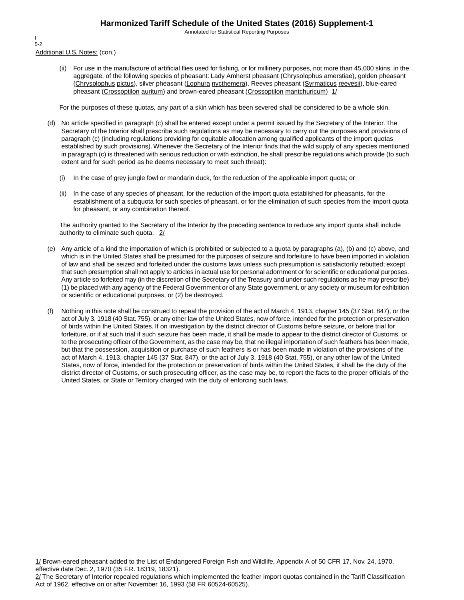Annotated for Statistical Reporting Purposes

Additional U.S. Notes: (con.) I 5-2

> (ii) For use in the manufacture of artificial flies used for fishing, or for millinery purposes, not more than 45,000 skins, in the aggregate, of the following species of pheasant: Lady Amherst pheasant (Chrysolophus amerstiae), golden pheasant (Chrysolophus pictus), silver pheasant (Lophura nycthemera), Reeves pheasant (Syrmaticus reevesii), blue-eared pheasant (Crossoptilon auritum) and brown-eared pheasant (Crossoptilon mantchuricum)  $1/$

For the purposes of these quotas, any part of a skin which has been severed shall be considered to be a whole skin.

- (d) No article specified in paragraph (c) shall be entered except under a permit issued by the Secretary of the Interior. The Secretary of the Interior shall prescribe such regulations as may be necessary to carry out the purposes and provisions of paragraph (c) (including regulations providing for equitable allocation among qualified applicants of the import quotas established by such provisions). Whenever the Secretary of the Interior finds that the wild supply of any species mentioned in paragraph (c) is threatened with serious reduction or with extinction, he shall prescribe regulations which provide (to such extent and for such period as he deems necessary to meet such threat):
	- (i) In the case of grey jungle fowl or mandarin duck, for the reduction of the applicable import quota; or
	- (ii) In the case of any species of pheasant, for the reduction of the import quota established for pheasants, for the establishment of a subquota for such species of pheasant, or for the elimination of such species from the import quota for pheasant, or any combination thereof.

The authority granted to the Secretary of the Interior by the preceding sentence to reduce any import quota shall include authority to eliminate such quota. 2/

- (e) Any article of a kind the importation of which is prohibited or subjected to a quota by paragraphs (a), (b) and (c) above, and which is in the United States shall be presumed for the purposes of seizure and forfeiture to have been imported in violation of law and shall be seized and forfeited under the customs laws unless such presumption is satisfactorily rebutted; except that such presumption shall not apply to articles in actual use for personal adornment or for scientific or educational purposes. Any article so forfeited may (in the discretion of the Secretary of the Treasury and under such regulations as he may prescribe) (1) be placed with any agency of the Federal Government or of any State government, or any society or museum for exhibition or scientific or educational purposes, or (2) be destroyed.
- (f) Nothing in this note shall be construed to repeal the provision of the act of March 4, 1913, chapter 145 (37 Stat. 847), or the act of July 3, 1918 (40 Stat. 755), or any other law of the United States, now of force, intended for the protection or preservation of birds within the United States. If on investigation by the district director of Customs before seizure, or before trial for forfeiture, or if at such trial if such seizure has been made, it shall be made to appear to the district director of Customs, or to the prosecuting officer of the Government, as the case may be, that no illegal importation of such feathers has been made, but that the possession, acquisition or purchase of such feathers is or has been made in violation of the provisions of the act of March 4, 1913, chapter 145 (37 Stat. 847), or the act of July 3, 1918 (40 Stat. 755), or any other law of the United States, now of force, intended for the protection or preservation of birds within the United States, it shall be the duty of the district director of Customs, or such prosecuting officer, as the case may be, to report the facts to the proper officials of the United States, or State or Territory charged with the duty of enforcing such laws.

1/ Brown-eared pheasant added to the List of Endangered Foreign Fish and Wildlife, Appendix A of 50 CFR 17, Nov. 24, 1970, effective date Dec. 2, 1970 (35 F.R. 18319, 18321).

<sup>2/</sup> The Secretary of Interior repealed regulations which implemented the feather import quotas contained in the Tariff Classification Act of 1962, effective on or after November 16, 1993 (58 FR 60524-60525).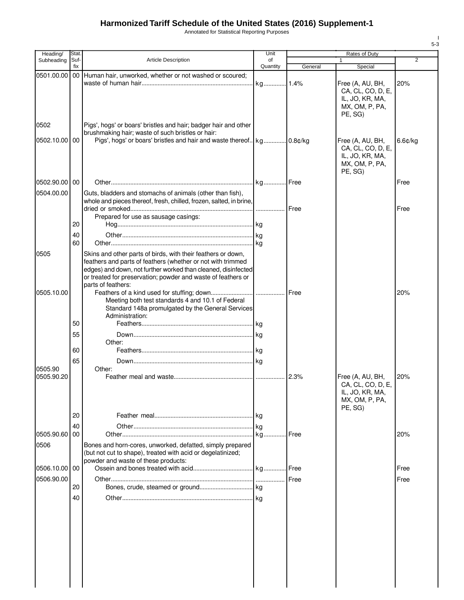Annotated for Statistical Reporting Purposes

| Suf-<br><b>Article Description</b><br>Subheading<br>of<br>Quantity<br>fix<br>General<br>Special<br>0501.00.00<br>00 Human hair, unworked, whether or not washed or scoured;<br>Free (A, AU, BH,<br>CA, CL, CO, D, E,<br>IL, JO, KR, MA,<br>MX, OM, P, PA,<br>PE, SG)<br>0502<br>Pigs', hogs' or boars' bristles and hair; badger hair and other<br>brushmaking hair; waste of such bristles or hair:<br>0502.10.00<br>00<br>Free (A, AU, BH,<br>CA, CL, CO, D, E,<br>IL, JO, KR, MA,<br>MX, OM, P, PA,<br>PE, SG)<br>0502.90.00 00<br>0504.00.00<br>Guts, bladders and stomachs of animals (other than fish),<br>whole and pieces thereof, fresh, chilled, frozen, salted, in brine,<br>Prepared for use as sausage casings:<br>20<br>40<br>60<br>Skins and other parts of birds, with their feathers or down,<br>0505<br>feathers and parts of feathers (whether or not with trimmed | 2<br>20% |
|---------------------------------------------------------------------------------------------------------------------------------------------------------------------------------------------------------------------------------------------------------------------------------------------------------------------------------------------------------------------------------------------------------------------------------------------------------------------------------------------------------------------------------------------------------------------------------------------------------------------------------------------------------------------------------------------------------------------------------------------------------------------------------------------------------------------------------------------------------------------------------------|----------|
|                                                                                                                                                                                                                                                                                                                                                                                                                                                                                                                                                                                                                                                                                                                                                                                                                                                                                       |          |
|                                                                                                                                                                                                                                                                                                                                                                                                                                                                                                                                                                                                                                                                                                                                                                                                                                                                                       |          |
|                                                                                                                                                                                                                                                                                                                                                                                                                                                                                                                                                                                                                                                                                                                                                                                                                                                                                       |          |
|                                                                                                                                                                                                                                                                                                                                                                                                                                                                                                                                                                                                                                                                                                                                                                                                                                                                                       |          |
|                                                                                                                                                                                                                                                                                                                                                                                                                                                                                                                                                                                                                                                                                                                                                                                                                                                                                       | 6.6¢/kg  |
|                                                                                                                                                                                                                                                                                                                                                                                                                                                                                                                                                                                                                                                                                                                                                                                                                                                                                       | Free     |
|                                                                                                                                                                                                                                                                                                                                                                                                                                                                                                                                                                                                                                                                                                                                                                                                                                                                                       | Free     |
|                                                                                                                                                                                                                                                                                                                                                                                                                                                                                                                                                                                                                                                                                                                                                                                                                                                                                       |          |
|                                                                                                                                                                                                                                                                                                                                                                                                                                                                                                                                                                                                                                                                                                                                                                                                                                                                                       |          |
|                                                                                                                                                                                                                                                                                                                                                                                                                                                                                                                                                                                                                                                                                                                                                                                                                                                                                       |          |
|                                                                                                                                                                                                                                                                                                                                                                                                                                                                                                                                                                                                                                                                                                                                                                                                                                                                                       |          |
| edges) and down, not further worked than cleaned, disinfected<br>or treated for preservation; powder and waste of feathers or                                                                                                                                                                                                                                                                                                                                                                                                                                                                                                                                                                                                                                                                                                                                                         |          |
| parts of feathers:<br>0505.10.00                                                                                                                                                                                                                                                                                                                                                                                                                                                                                                                                                                                                                                                                                                                                                                                                                                                      | 20%      |
| Meeting both test standards 4 and 10.1 of Federal<br>Standard 148a promulgated by the General Services<br>Administration:                                                                                                                                                                                                                                                                                                                                                                                                                                                                                                                                                                                                                                                                                                                                                             |          |
| 50                                                                                                                                                                                                                                                                                                                                                                                                                                                                                                                                                                                                                                                                                                                                                                                                                                                                                    |          |
| 55<br>Other:                                                                                                                                                                                                                                                                                                                                                                                                                                                                                                                                                                                                                                                                                                                                                                                                                                                                          |          |
| 60                                                                                                                                                                                                                                                                                                                                                                                                                                                                                                                                                                                                                                                                                                                                                                                                                                                                                    |          |
| 65                                                                                                                                                                                                                                                                                                                                                                                                                                                                                                                                                                                                                                                                                                                                                                                                                                                                                    |          |
| 0505.90<br>Other:<br>0505.90.20<br>Free (A, AU, BH,<br>CA, CL, CO, D, E,<br>IL, JO, KR, MA,<br>MX, OM, P, PA,                                                                                                                                                                                                                                                                                                                                                                                                                                                                                                                                                                                                                                                                                                                                                                         | 20%      |
| PE, SG)                                                                                                                                                                                                                                                                                                                                                                                                                                                                                                                                                                                                                                                                                                                                                                                                                                                                               |          |
| 20                                                                                                                                                                                                                                                                                                                                                                                                                                                                                                                                                                                                                                                                                                                                                                                                                                                                                    |          |
| 40<br>. kg<br>0505.90.60<br>00<br>. Free<br>kg.                                                                                                                                                                                                                                                                                                                                                                                                                                                                                                                                                                                                                                                                                                                                                                                                                                       | 20%      |
| Bones and horn-cores, unworked, defatted, simply prepared<br>0506<br>(but not cut to shape), treated with acid or degelatinized;<br>powder and waste of these products:                                                                                                                                                                                                                                                                                                                                                                                                                                                                                                                                                                                                                                                                                                               |          |
| 0506.10.00<br>00                                                                                                                                                                                                                                                                                                                                                                                                                                                                                                                                                                                                                                                                                                                                                                                                                                                                      | Free     |
| 0506.90.00                                                                                                                                                                                                                                                                                                                                                                                                                                                                                                                                                                                                                                                                                                                                                                                                                                                                            | Free     |
| 20                                                                                                                                                                                                                                                                                                                                                                                                                                                                                                                                                                                                                                                                                                                                                                                                                                                                                    |          |
| 40                                                                                                                                                                                                                                                                                                                                                                                                                                                                                                                                                                                                                                                                                                                                                                                                                                                                                    |          |
|                                                                                                                                                                                                                                                                                                                                                                                                                                                                                                                                                                                                                                                                                                                                                                                                                                                                                       |          |
|                                                                                                                                                                                                                                                                                                                                                                                                                                                                                                                                                                                                                                                                                                                                                                                                                                                                                       |          |

I 5-3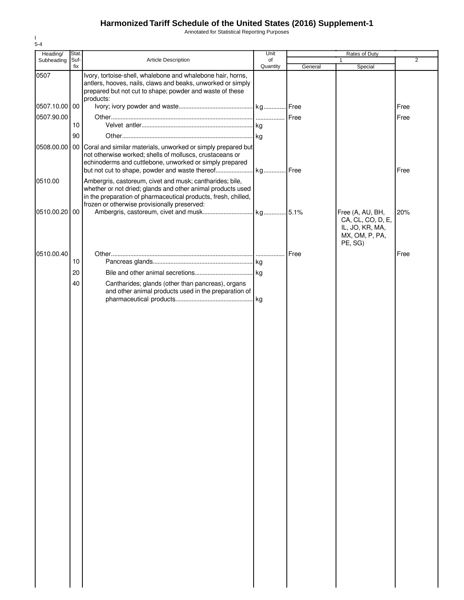Annotated for Statistical Reporting Purposes

| Heading/      | Stat.       |                                                                                                                                                                                                                                           | Unit           | <b>Rates of Duty</b> |                                                                                       |                |
|---------------|-------------|-------------------------------------------------------------------------------------------------------------------------------------------------------------------------------------------------------------------------------------------|----------------|----------------------|---------------------------------------------------------------------------------------|----------------|
| Subheading    | Suf-<br>fix | Article Description                                                                                                                                                                                                                       | of<br>Quantity | General              | $\mathbf{1}$<br>Special                                                               | $\overline{2}$ |
| 0507          |             | Ivory, tortoise-shell, whalebone and whalebone hair, horns,<br>antlers, hooves, nails, claws and beaks, unworked or simply<br>prepared but not cut to shape; powder and waste of these<br>products:                                       |                |                      |                                                                                       |                |
| 0507.10.00 00 |             |                                                                                                                                                                                                                                           |                |                      |                                                                                       | Free           |
| 0507.90.00    |             |                                                                                                                                                                                                                                           |                | Free                 |                                                                                       | Free           |
|               | 10          |                                                                                                                                                                                                                                           |                |                      |                                                                                       |                |
| 0508.00.00    | 90          | 00 Coral and similar materials, unworked or simply prepared but<br>not otherwise worked; shells of molluscs, crustaceans or<br>echinoderms and cuttlebone, unworked or simply prepared                                                    |                |                      |                                                                                       | Free           |
| 0510.00       |             | Ambergris, castoreum, civet and musk; cantharides; bile,<br>whether or not dried; glands and other animal products used<br>in the preparation of pharmaceutical products, fresh, chilled,<br>frozen or otherwise provisionally preserved: |                |                      |                                                                                       |                |
| 0510.00.20 00 |             |                                                                                                                                                                                                                                           |                |                      | Free (A, AU, BH,<br>CA, CL, CO, D, E,<br>IL, JO, KR, MA,<br>MX, OM, P, PA,<br>PE, SG) | 20%            |
| 0510.00.40    |             |                                                                                                                                                                                                                                           |                | Free                 |                                                                                       | Free           |
|               | 10          |                                                                                                                                                                                                                                           |                |                      |                                                                                       |                |
|               | 20          |                                                                                                                                                                                                                                           |                |                      |                                                                                       |                |
|               | 40          | Cantharides; glands (other than pancreas), organs<br>and other animal products used in the preparation of                                                                                                                                 |                |                      |                                                                                       |                |
|               |             |                                                                                                                                                                                                                                           |                |                      |                                                                                       |                |
|               |             |                                                                                                                                                                                                                                           |                |                      |                                                                                       |                |
|               |             |                                                                                                                                                                                                                                           |                |                      |                                                                                       |                |
|               |             |                                                                                                                                                                                                                                           |                |                      |                                                                                       |                |
|               |             |                                                                                                                                                                                                                                           |                |                      |                                                                                       |                |
|               |             |                                                                                                                                                                                                                                           |                |                      |                                                                                       |                |
|               |             |                                                                                                                                                                                                                                           |                |                      |                                                                                       |                |
|               |             |                                                                                                                                                                                                                                           |                |                      |                                                                                       |                |
|               |             |                                                                                                                                                                                                                                           |                |                      |                                                                                       |                |
|               |             |                                                                                                                                                                                                                                           |                |                      |                                                                                       |                |
|               |             |                                                                                                                                                                                                                                           |                |                      |                                                                                       |                |
|               |             |                                                                                                                                                                                                                                           |                |                      |                                                                                       |                |
|               |             |                                                                                                                                                                                                                                           |                |                      |                                                                                       |                |
|               |             |                                                                                                                                                                                                                                           |                |                      |                                                                                       |                |
|               |             |                                                                                                                                                                                                                                           |                |                      |                                                                                       |                |
|               |             |                                                                                                                                                                                                                                           |                |                      |                                                                                       |                |

I 5-4